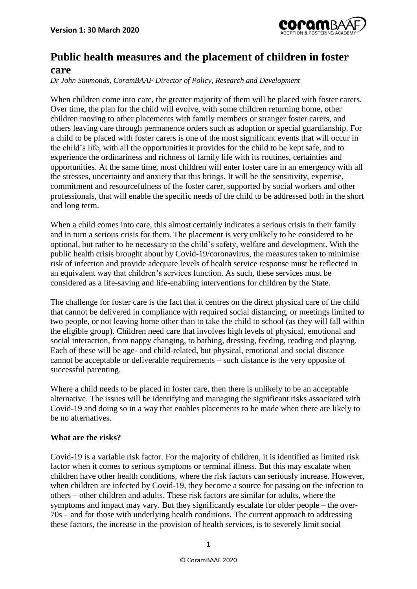

## **Public health measures and the placement of children in foster care**

*Dr John Simmonds, CoramBAAF Director of Policy, Research and Development*

When children come into care, the greater majority of them will be placed with foster carers. Over time, the plan for the child will evolve, with some children returning home, other children moving to other placements with family members or stranger foster carers, and others leaving care through permanence orders such as adoption or special guardianship. For a child to be placed with foster carers is one of the most significant events that will occur in the child's life, with all the opportunities it provides for the child to be kept safe, and to experience the ordinariness and richness of family life with its routines, certainties and opportunities. At the same time, most children will enter foster care in an emergency with all the stresses, uncertainty and anxiety that this brings. It will be the sensitivity, expertise, commitment and resourcefulness of the foster carer, supported by social workers and other professionals, that will enable the specific needs of the child to be addressed both in the short and long term.

When a child comes into care, this almost certainly indicates a serious crisis in their family and in turn a serious crisis for them. The placement is very unlikely to be considered to be optional, but rather to be necessary to the child's safety, welfare and development. With the public health crisis brought about by Covid-19/coronavirus, the measures taken to minimise risk of infection and provide adequate levels of health service response must be reflected in an equivalent way that children's services function. As such, these services must be considered as a life-saving and life-enabling interventions for children by the State.

The challenge for foster care is the fact that it centres on the direct physical care of the child that cannot be delivered in compliance with required social distancing, or meetings limited to two people, or not leaving home other than to take the child to school (as they will fall within the eligible group). Children need care that involves high levels of physical, emotional and social interaction, from nappy changing, to bathing, dressing, feeding, reading and playing. Each of these will be age- and child-related, but physical, emotional and social distance cannot be acceptable or deliverable requirements – such distance is the very opposite of successful parenting.

Where a child needs to be placed in foster care, then there is unlikely to be an acceptable alternative. The issues will be identifying and managing the significant risks associated with Covid-19 and doing so in a way that enables placements to be made when there are likely to be no alternatives.

## **What are the risks?**

Covid-19 is a variable risk factor. For the majority of children, it is identified as limited risk factor when it comes to serious symptoms or terminal illness. But this may escalate when children have other health conditions, where the risk factors can seriously increase. However, when children are infected by Covid-19, they become a source for passing on the infection to others – other children and adults. These risk factors are similar for adults, where the symptoms and impact may vary. But they significantly escalate for older people – the over-70s – and for those with underlying health conditions. The current approach to addressing these factors, the increase in the provision of health services, is to severely limit social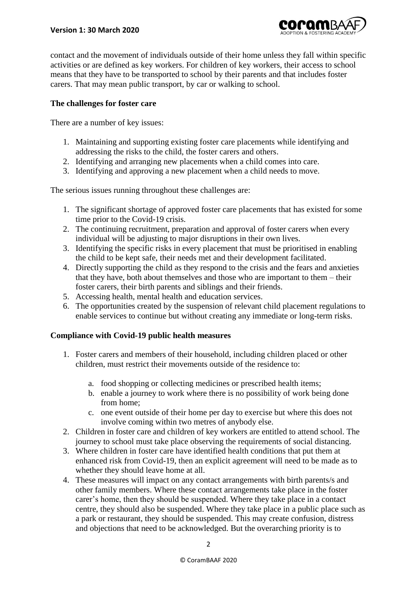

contact and the movement of individuals outside of their home unless they fall within specific activities or are defined as key workers. For children of key workers, their access to school means that they have to be transported to school by their parents and that includes foster carers. That may mean public transport, by car or walking to school.

## **The challenges for foster care**

There are a number of key issues:

- 1. Maintaining and supporting existing foster care placements while identifying and addressing the risks to the child, the foster carers and others.
- 2. Identifying and arranging new placements when a child comes into care.
- 3. Identifying and approving a new placement when a child needs to move.

The serious issues running throughout these challenges are:

- 1. The significant shortage of approved foster care placements that has existed for some time prior to the Covid-19 crisis.
- 2. The continuing recruitment, preparation and approval of foster carers when every individual will be adjusting to major disruptions in their own lives.
- 3. Identifying the specific risks in every placement that must be prioritised in enabling the child to be kept safe, their needs met and their development facilitated.
- 4. Directly supporting the child as they respond to the crisis and the fears and anxieties that they have, both about themselves and those who are important to them – their foster carers, their birth parents and siblings and their friends.
- 5. Accessing health, mental health and education services.
- 6. The opportunities created by the suspension of relevant child placement regulations to enable services to continue but without creating any immediate or long-term risks.

## **Compliance with Covid-19 public health measures**

- 1. Foster carers and members of their household, including children placed or other children, must restrict their movements outside of the residence to:
	- a. food shopping or collecting medicines or prescribed health items;
	- b. enable a journey to work where there is no possibility of work being done from home;
	- c. one event outside of their home per day to exercise but where this does not involve coming within two metres of anybody else.
- 2. Children in foster care and children of key workers are entitled to attend school. The journey to school must take place observing the requirements of social distancing.
- 3. Where children in foster care have identified health conditions that put them at enhanced risk from Covid-19, then an explicit agreement will need to be made as to whether they should leave home at all.
- 4. These measures will impact on any contact arrangements with birth parents/s and other family members. Where these contact arrangements take place in the foster carer's home, then they should be suspended. Where they take place in a contact centre, they should also be suspended. Where they take place in a public place such as a park or restaurant, they should be suspended. This may create confusion, distress and objections that need to be acknowledged. But the overarching priority is to